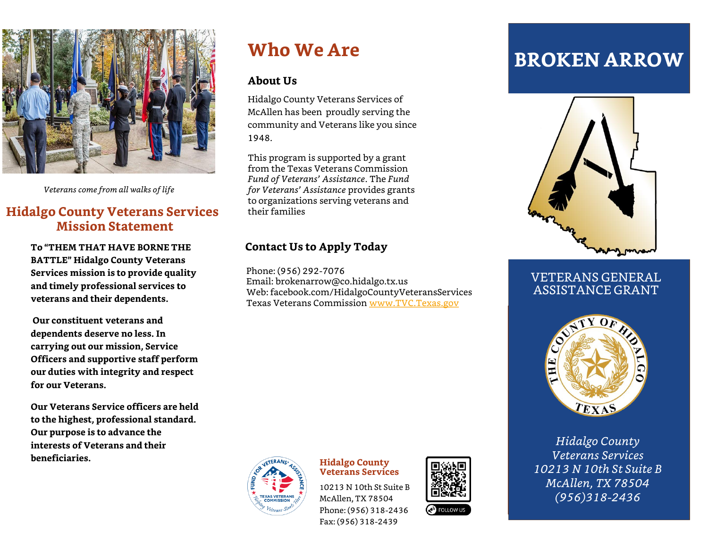

*Veterans come from all walks of life*

## **Hidalgo County Veterans Services Mission Statement**

**To "THEM THAT HAVE BORNE THE BATTLE" Hidalgo County Veterans Services mission is to provide quality and timely professional services to veterans and their dependents.**

**Our constituent veterans and dependents deserve no less. In carrying out our mission, Service Officers and supportive staff perform our duties with integrity and respect for our Veterans.** 

**Our Veterans Service officers are held to the highest, professional standard. Our purpose is to advance the interests of Veterans and their beneficiaries.**

## **Who We Are**

#### **About Us**

Hidalgo County Veterans Services of McAllen has been proudly serving the community and Veterans like you since 1948.

This program is supported by a grant from the Texas Veterans Commission *Fund of Veterans' Assistance*. The *Fund for Veterans' Assistance* provides grants to organizations serving veterans and their families

### **Contact Us to Apply Today**

Phone: (956) 292-7076 Email: brokenarrow@co.hidalgo.tx.us Web: facebook.com/HidalgoCountyVeteransServices Texas Veterans Commission [www.TVC.Texas.gov](http://www.tvc.texas.gov/)



#### **Hidalgo County Veterans Services**

10213 N 10th St Suite B McAllen, TX 78504 Phone: (956) 318-2436 Fax: (956) 318-2439



# **BROKEN ARROW**



### VETERANS GENERAL ASSISTANCE GRANT



*Hidalgo County Veterans Services 10213 N 10th St Suite B McAllen, TX 78504 (956)318-2436*